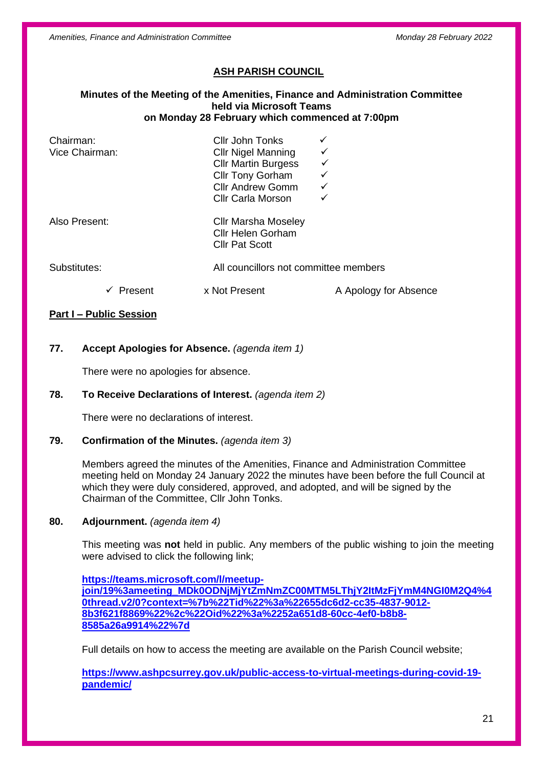*Amenities, Finance and Administration Committee Monday 28 February 2022*

# **ASH PARISH COUNCIL**

#### **Minutes of the Meeting of the Amenities, Finance and Administration Committee held via Microsoft Teams on Monday 28 February which commenced at 7:00pm**

| Chairman:<br>Vice Chairman: | Cllr John Tonks<br><b>CIIr Nigel Manning</b><br><b>CIIr Martin Burgess</b><br><b>Cllr Tony Gorham</b><br><b>Cllr Andrew Gomm</b><br><b>Cllr Carla Morson</b> | ✓                                     |  |
|-----------------------------|--------------------------------------------------------------------------------------------------------------------------------------------------------------|---------------------------------------|--|
| Also Present:               | <b>Cllr Marsha Moseley</b><br><b>Cllr Helen Gorham</b><br><b>Cllr Pat Scott</b>                                                                              |                                       |  |
| Substitutes:                |                                                                                                                                                              | All councillors not committee members |  |
| Present                     | x Not Present                                                                                                                                                | A Apology for Absence                 |  |

## **Part I – Public Session**

## **77. Accept Apologies for Absence.** *(agenda item 1)*

There were no apologies for absence.

## **78. To Receive Declarations of Interest.** *(agenda item 2)*

There were no declarations of interest.

## **79. Confirmation of the Minutes.** *(agenda item 3)*

Members agreed the minutes of the Amenities, Finance and Administration Committee meeting held on Monday 24 January 2022 the minutes have been before the full Council at which they were duly considered, approved, and adopted, and will be signed by the Chairman of the Committee, Cllr John Tonks.

#### **80. Adjournment.** *(agenda item 4)*

This meeting was **not** held in public. Any members of the public wishing to join the meeting were advised to click the following link;

**[https://teams.microsoft.com/l/meetup](https://teams.microsoft.com/l/meetup-join/19%3ameeting_MDk0ODNjMjYtZmNmZC00MTM5LThjY2ItMzFjYmM4NGI0M2Q4%40thread.v2/0?context=%7b%22Tid%22%3a%22655dc6d2-cc35-4837-9012-8b3f621f8869%22%2c%22Oid%22%3a%2252a651d8-60cc-4ef0-b8b8-8585a26a9914%22%7d)[join/19%3ameeting\\_MDk0ODNjMjYtZmNmZC00MTM5LThjY2ItMzFjYmM4NGI0M2Q4%4](https://teams.microsoft.com/l/meetup-join/19%3ameeting_MDk0ODNjMjYtZmNmZC00MTM5LThjY2ItMzFjYmM4NGI0M2Q4%40thread.v2/0?context=%7b%22Tid%22%3a%22655dc6d2-cc35-4837-9012-8b3f621f8869%22%2c%22Oid%22%3a%2252a651d8-60cc-4ef0-b8b8-8585a26a9914%22%7d) [0thread.v2/0?context=%7b%22Tid%22%3a%22655dc6d2-cc35-4837-9012-](https://teams.microsoft.com/l/meetup-join/19%3ameeting_MDk0ODNjMjYtZmNmZC00MTM5LThjY2ItMzFjYmM4NGI0M2Q4%40thread.v2/0?context=%7b%22Tid%22%3a%22655dc6d2-cc35-4837-9012-8b3f621f8869%22%2c%22Oid%22%3a%2252a651d8-60cc-4ef0-b8b8-8585a26a9914%22%7d) [8b3f621f8869%22%2c%22Oid%22%3a%2252a651d8-60cc-4ef0-b8b8-](https://teams.microsoft.com/l/meetup-join/19%3ameeting_MDk0ODNjMjYtZmNmZC00MTM5LThjY2ItMzFjYmM4NGI0M2Q4%40thread.v2/0?context=%7b%22Tid%22%3a%22655dc6d2-cc35-4837-9012-8b3f621f8869%22%2c%22Oid%22%3a%2252a651d8-60cc-4ef0-b8b8-8585a26a9914%22%7d) [8585a26a9914%22%7d](https://teams.microsoft.com/l/meetup-join/19%3ameeting_MDk0ODNjMjYtZmNmZC00MTM5LThjY2ItMzFjYmM4NGI0M2Q4%40thread.v2/0?context=%7b%22Tid%22%3a%22655dc6d2-cc35-4837-9012-8b3f621f8869%22%2c%22Oid%22%3a%2252a651d8-60cc-4ef0-b8b8-8585a26a9914%22%7d)**

Full details on how to access the meeting are available on the Parish Council website;

**[https://www.ashpcsurrey.gov.uk/public-access-to-virtual-meetings-during-covid-19](https://www.ashpcsurrey.gov.uk/public-access-to-virtual-meetings-during-covid-19-pandemic/) [pandemic/](https://www.ashpcsurrey.gov.uk/public-access-to-virtual-meetings-during-covid-19-pandemic/)**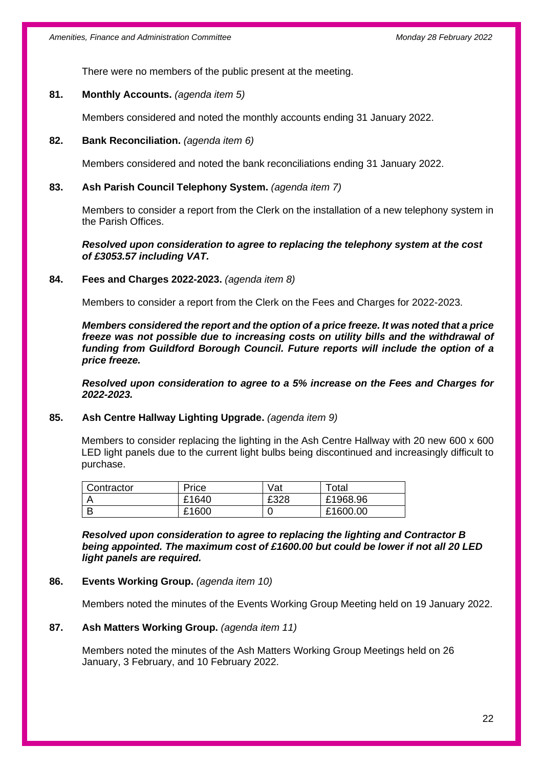There were no members of the public present at the meeting.

### **81. Monthly Accounts.** *(agenda item 5)*

Members considered and noted the monthly accounts ending 31 January 2022.

## **82. Bank Reconciliation.** *(agenda item 6)*

Members considered and noted the bank reconciliations ending 31 January 2022.

## **83. Ash Parish Council Telephony System.** *(agenda item 7)*

Members to consider a report from the Clerk on the installation of a new telephony system in the Parish Offices.

*Resolved upon consideration to agree to replacing the telephony system at the cost of £3053.57 including VAT.*

#### **84. Fees and Charges 2022-2023.** *(agenda item 8)*

Members to consider a report from the Clerk on the Fees and Charges for 2022-2023.

*Members considered the report and the option of a price freeze. It was noted that a price freeze was not possible due to increasing costs on utility bills and the withdrawal of funding from Guildford Borough Council. Future reports will include the option of a price freeze.*

*Resolved upon consideration to agree to a 5% increase on the Fees and Charges for 2022-2023.*

## **85. Ash Centre Hallway Lighting Upgrade.** *(agenda item 9)*

Members to consider replacing the lighting in the Ash Centre Hallway with 20 new 600 x 600 LED light panels due to the current light bulbs being discontinued and increasingly difficult to purchase.

| Contractor | Price | Vat  | $\tau$ otal |
|------------|-------|------|-------------|
|            | £1640 | £328 | £1968.96    |
|            | £1600 |      | £1600.00    |

*Resolved upon consideration to agree to replacing the lighting and Contractor B being appointed. The maximum cost of £1600.00 but could be lower if not all 20 LED light panels are required.*

#### **86. Events Working Group.** *(agenda item 10)*

Members noted the minutes of the Events Working Group Meeting held on 19 January 2022.

#### **87. Ash Matters Working Group.** *(agenda item 11)*

Members noted the minutes of the Ash Matters Working Group Meetings held on 26 January, 3 February, and 10 February 2022.